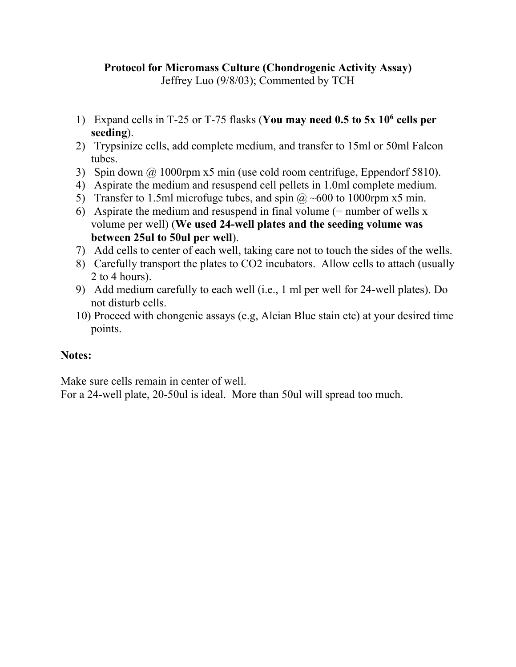## **Protocol for Micromass Culture (Chondrogenic Activity Assay)**

Jeffrey Luo (9/8/03); Commented by TCH

- 1) Expand cells in T-25 or T-75 flasks (**You may need 0.5 to 5x 10<sup>6</sup> cells per seeding**).
- 2) Trypsinize cells, add complete medium, and transfer to 15ml or 50ml Falcon tubes.
- 3) Spin down  $\omega$  1000rpm x5 min (use cold room centrifuge, Eppendorf 5810).
- 4) Aspirate the medium and resuspend cell pellets in 1.0ml complete medium.
- 5) Transfer to 1.5ml microfuge tubes, and spin  $\omega \sim 600$  to 1000rpm x5 min.
- 6) Aspirate the medium and resuspend in final volume  $(=$  number of wells x volume per well) (**We used 24-well plates and the seeding volume was between 25ul to 50ul per well**).
- 7) Add cells to center of each well, taking care not to touch the sides of the wells.
- 8) Carefully transport the plates to CO2 incubators. Allow cells to attach (usually 2 to 4 hours).
- 9) Add medium carefully to each well (i.e., 1 ml per well for 24-well plates). Do not disturb cells.
- 10) Proceed with chongenic assays (e.g, Alcian Blue stain etc) at your desired time points.

## **Notes:**

Make sure cells remain in center of well.

For a 24-well plate, 20-50ul is ideal. More than 50ul will spread too much.